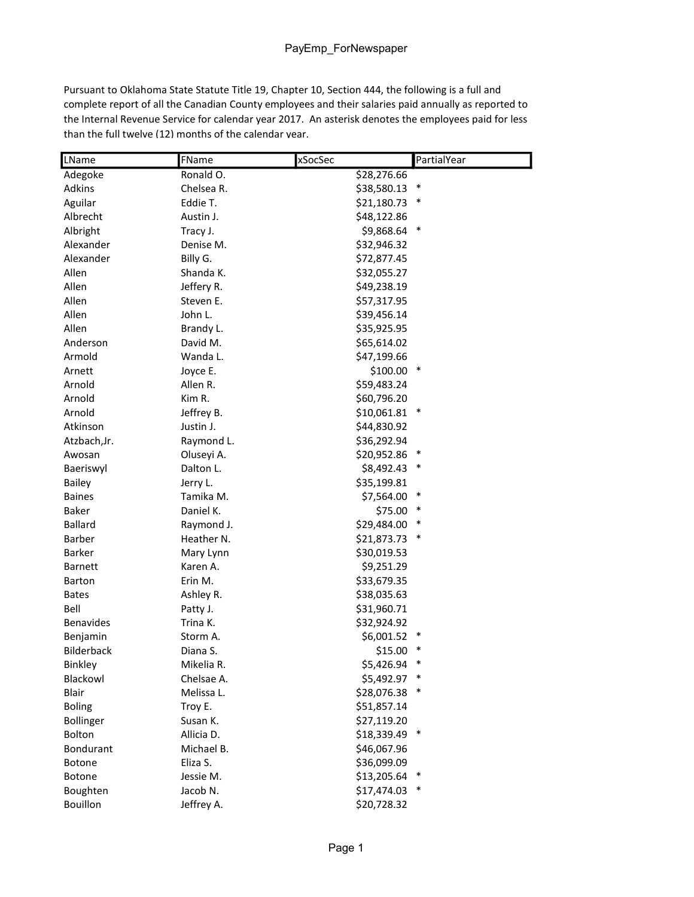Pursuant to Oklahoma State Statute Title 19, Chapter 10, Section 444, the following is a full and complete report of all the Canadian County employees and their salaries paid annually as reported to the Internal Revenue Service for calendar year 2017. An asterisk denotes the employees paid for less than the full twelve (12) months of the calendar year.

| LName            | FName      | xSocSec     | PartialYear |
|------------------|------------|-------------|-------------|
| Adegoke          | Ronald O.  | \$28,276.66 |             |
| Adkins           | Chelsea R. | \$38,580.13 |             |
| Aguilar          | Eddie T.   | \$21,180.73 |             |
| Albrecht         | Austin J.  | \$48,122.86 |             |
| Albright         | Tracy J.   | \$9,868.64  | ∗           |
| Alexander        | Denise M.  | \$32,946.32 |             |
| Alexander        | Billy G.   | \$72,877.45 |             |
| Allen            | Shanda K.  | \$32,055.27 |             |
| Allen            | Jeffery R. | \$49,238.19 |             |
| Allen            | Steven E.  | \$57,317.95 |             |
| Allen            | John L.    | \$39,456.14 |             |
| Allen            | Brandy L.  | \$35,925.95 |             |
| Anderson         | David M.   | \$65,614.02 |             |
| Armold           | Wanda L.   | \$47,199.66 |             |
| Arnett           | Joyce E.   | \$100.00    |             |
| Arnold           | Allen R.   | \$59,483.24 |             |
| Arnold           | Kim R.     | \$60,796.20 |             |
| Arnold           | Jeffrey B. | \$10,061.81 |             |
| Atkinson         | Justin J.  | \$44,830.92 |             |
| Atzbach, Jr.     | Raymond L. | \$36,292.94 |             |
| Awosan           | Oluseyi A. | \$20,952.86 |             |
| Baeriswyl        | Dalton L.  | \$8,492.43  | $\ast$      |
| <b>Bailey</b>    | Jerry L.   | \$35,199.81 |             |
| <b>Baines</b>    | Tamika M.  | \$7,564.00  | $\ast$      |
| <b>Baker</b>     | Daniel K.  | \$75.00     | $\ast$      |
| <b>Ballard</b>   | Raymond J. | \$29,484.00 |             |
| Barber           | Heather N. | \$21,873.73 |             |
| <b>Barker</b>    | Mary Lynn  | \$30,019.53 |             |
| <b>Barnett</b>   | Karen A.   | \$9,251.29  |             |
| <b>Barton</b>    | Erin M.    | \$33,679.35 |             |
| <b>Bates</b>     | Ashley R.  | \$38,035.63 |             |
| Bell             | Patty J.   | \$31,960.71 |             |
| <b>Benavides</b> | Trina K.   | \$32,924.92 |             |
| Benjamin         | Storm A.   | \$6,001.52  |             |
| Bilderback       | Diana S.   | \$15.00     | *           |
| Binkley          | Mikelia R. | \$5,426.94  | $\ast$      |
| Blackowl         | Chelsae A. | \$5,492.97  | $\ast$      |
| Blair            | Melissa L. | \$28,076.38 |             |
| <b>Boling</b>    | Troy E.    | \$51,857.14 |             |
| <b>Bollinger</b> | Susan K.   | \$27,119.20 |             |
| Bolton           | Allicia D. | \$18,339.49 | $\ast$      |
| Bondurant        | Michael B. | \$46,067.96 |             |
| Botone           | Eliza S.   | \$36,099.09 |             |
| Botone           | Jessie M.  | \$13,205.64 |             |
| Boughten         | Jacob N.   | \$17,474.03 |             |
| <b>Bouillon</b>  | Jeffrey A. | \$20,728.32 |             |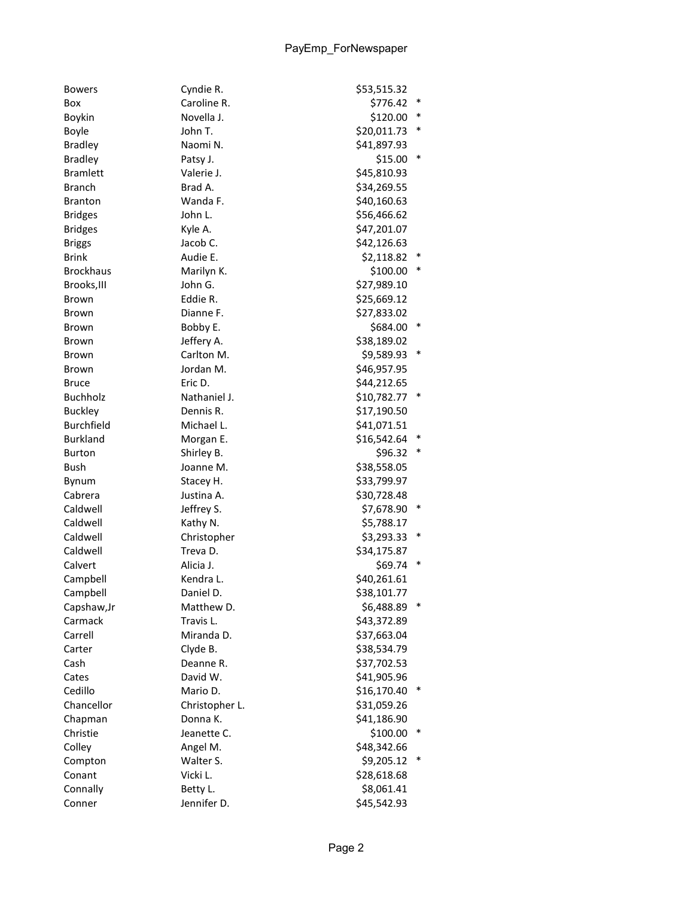| Bowers            | Cyndie R.      | \$53,515.32           |
|-------------------|----------------|-----------------------|
| Box               | Caroline R.    | \$776.42<br>$\ast$    |
| <b>Boykin</b>     | Novella J.     | *<br>\$120.00         |
| Boyle             | John T.        | *<br>\$20,011.73      |
| <b>Bradley</b>    | Naomi N.       | \$41,897.93           |
| <b>Bradley</b>    | Patsy J.       | $\ast$<br>\$15.00     |
| <b>Bramlett</b>   | Valerie J.     | \$45,810.93           |
| <b>Branch</b>     | Brad A.        | \$34,269.55           |
| <b>Branton</b>    | Wanda F.       | \$40,160.63           |
| <b>Bridges</b>    | John L.        | \$56,466.62           |
| <b>Bridges</b>    | Kyle A.        | \$47,201.07           |
| <b>Briggs</b>     | Jacob C.       | \$42,126.63           |
| <b>Brink</b>      | Audie E.       | \$2,118.82            |
| <b>Brockhaus</b>  | Marilyn K.     | \$100.00              |
| Brooks, III       | John G.        | \$27,989.10           |
| Brown             | Eddie R.       | \$25,669.12           |
| <b>Brown</b>      | Dianne F.      | \$27,833.02           |
| Brown             | Bobby E.       | $\ast$<br>\$684.00    |
| Brown             | Jeffery A.     | \$38,189.02           |
| Brown             | Carlton M.     | $\ast$<br>\$9,589.93  |
| <b>Brown</b>      | Jordan M.      | \$46,957.95           |
| Bruce             | Eric D.        | \$44,212.65           |
| <b>Buchholz</b>   | Nathaniel J.   | $\ast$<br>\$10,782.77 |
| <b>Buckley</b>    | Dennis R.      | \$17,190.50           |
| <b>Burchfield</b> | Michael L.     | \$41,071.51           |
| <b>Burkland</b>   | Morgan E.      | $\ast$<br>\$16,542.64 |
| <b>Burton</b>     | Shirley B.     | ∗<br>\$96.32          |
| <b>Bush</b>       | Joanne M.      | \$38,558.05           |
| Bynum             | Stacey H.      | \$33,799.97           |
| Cabrera           | Justina A.     | \$30,728.48           |
| Caldwell          | Jeffrey S.     | *<br>\$7,678.90       |
| Caldwell          | Kathy N.       | \$5,788.17            |
| Caldwell          | Christopher    | $\ast$<br>\$3,293.33  |
| Caldwell          | Treva D.       | \$34,175.87           |
| Calvert           | Alicia J.      | $\ast$<br>\$69.74     |
| Campbell          | Kendra L.      | \$40,261.61           |
| Campbell          | Daniel D.      | \$38,101.77           |
| Capshaw, Jr       | Matthew D.     | $\ast$<br>\$6,488.89  |
| Carmack           | Travis L.      | \$43,372.89           |
| Carrell           | Miranda D.     | \$37,663.04           |
| Carter            | Clyde B.       | \$38,534.79           |
| Cash              | Deanne R.      | \$37,702.53           |
| Cates             | David W.       | \$41,905.96           |
| Cedillo           | Mario D.       | \$16,170.40<br>∗      |
| Chancellor        | Christopher L. | \$31,059.26           |
| Chapman           | Donna K.       | \$41,186.90           |
| Christie          | Jeanette C.    | \$100.00<br>*         |
| Colley            | Angel M.       | \$48,342.66           |
| Compton           | Walter S.      | \$9,205.12            |
| Conant            | Vicki L.       | \$28,618.68           |
| Connally          | Betty L.       | \$8,061.41            |
| Conner            | Jennifer D.    | \$45,542.93           |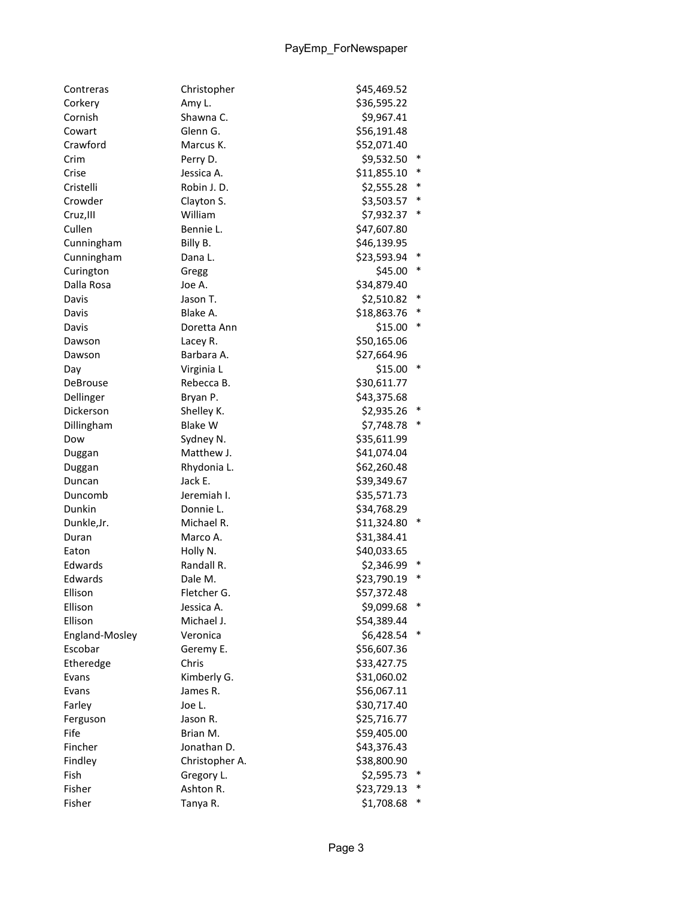| Contreras      | Christopher    | \$45,469.52 |        |
|----------------|----------------|-------------|--------|
| Corkery        | Amy L.         | \$36,595.22 |        |
| Cornish        | Shawna C.      | \$9,967.41  |        |
| Cowart         | Glenn G.       | \$56,191.48 |        |
| Crawford       | Marcus K.      | \$52,071.40 |        |
| Crim           | Perry D.       | \$9,532.50  | ∗      |
| Crise          | Jessica A.     | \$11,855.10 | ∗      |
| Cristelli      | Robin J. D.    | \$2,555.28  | $\ast$ |
| Crowder        | Clayton S.     | \$3,503.57  | $\ast$ |
| Cruz, III      | William        | \$7,932.37  | *      |
| Cullen         | Bennie L.      | \$47,607.80 |        |
| Cunningham     | Billy B.       | \$46,139.95 |        |
| Cunningham     | Dana L.        | \$23,593.94 | *      |
| Curington      | Gregg          | \$45.00     | *      |
| Dalla Rosa     | Joe A.         | \$34,879.40 |        |
| Davis          | Jason T.       | \$2,510.82  | $\ast$ |
| Davis          | Blake A.       | \$18,863.76 | $\ast$ |
| Davis          | Doretta Ann    | \$15.00     | $\ast$ |
| Dawson         | Lacey R.       | \$50,165.06 |        |
| Dawson         | Barbara A.     | \$27,664.96 |        |
| Day            | Virginia L     | \$15.00     | $\ast$ |
| DeBrouse       | Rebecca B.     | \$30,611.77 |        |
| Dellinger      | Bryan P.       | \$43,375.68 |        |
| Dickerson      | Shelley K.     | \$2,935.26  | $\ast$ |
| Dillingham     | <b>Blake W</b> | \$7,748.78  | $\ast$ |
| Dow            | Sydney N.      | \$35,611.99 |        |
| Duggan         | Matthew J.     | \$41,074.04 |        |
| Duggan         | Rhydonia L.    | \$62,260.48 |        |
| Duncan         | Jack E.        | \$39,349.67 |        |
| Duncomb        | Jeremiah I.    | \$35,571.73 |        |
| Dunkin         | Donnie L.      | \$34,768.29 |        |
| Dunkle, Jr.    | Michael R.     | \$11,324.80 | ∗      |
| Duran          | Marco A.       | \$31,384.41 |        |
| Eaton          | Holly N.       | \$40,033.65 |        |
| Edwards        | Randall R.     | \$2,346.99  | ∗      |
| Edwards        | Dale M.        | \$23,790.19 | $\ast$ |
| Ellison        | Fletcher G.    | \$57,372.48 |        |
| Ellison        | Jessica A.     | \$9,099.68  | $\ast$ |
| Ellison        | Michael J.     | \$54,389.44 |        |
| England-Mosley | Veronica       | \$6,428.54  | ∗      |
| Escobar        | Geremy E.      | \$56,607.36 |        |
| Etheredge      | Chris          | \$33,427.75 |        |
| Evans          | Kimberly G.    | \$31,060.02 |        |
| Evans          | James R.       | \$56,067.11 |        |
| Farley         | Joe L.         | \$30,717.40 |        |
| Ferguson       | Jason R.       | \$25,716.77 |        |
| Fife           | Brian M.       | \$59,405.00 |        |
| Fincher        | Jonathan D.    | \$43,376.43 |        |
| Findley        | Christopher A. | \$38,800.90 |        |
| Fish           | Gregory L.     | \$2,595.73  | *      |
| Fisher         | Ashton R.      | \$23,729.13 | $\ast$ |
| Fisher         | Tanya R.       | \$1,708.68  | $\ast$ |
|                |                |             |        |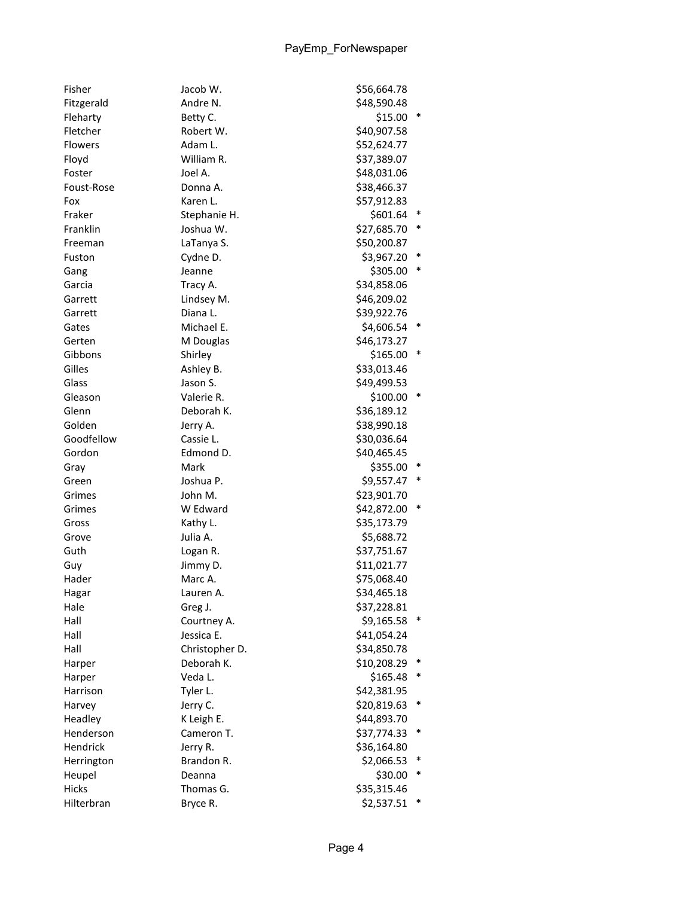| Fisher         | Jacob W.       | \$56,664.78           |
|----------------|----------------|-----------------------|
| Fitzgerald     | Andre N.       | \$48,590.48           |
| Fleharty       | Betty C.       | *<br>\$15.00          |
| Fletcher       | Robert W.      | \$40,907.58           |
| <b>Flowers</b> | Adam L.        | \$52,624.77           |
| Floyd          | William R.     | \$37,389.07           |
| Foster         | Joel A.        | \$48,031.06           |
| Foust-Rose     | Donna A.       | \$38,466.37           |
| Fox            | Karen L.       | \$57,912.83           |
| Fraker         | Stephanie H.   | *<br>\$601.64         |
| Franklin       | Joshua W.      | *<br>\$27,685.70      |
| Freeman        | LaTanya S.     | \$50,200.87           |
| Fuston         | Cydne D.       | $\ast$<br>\$3,967.20  |
| Gang           | Jeanne         | *<br>\$305.00         |
| Garcia         | Tracy A.       | \$34,858.06           |
| Garrett        | Lindsey M.     | \$46,209.02           |
| Garrett        | Diana L.       | \$39,922.76           |
| Gates          | Michael E.     | \$4,606.54<br>$\ast$  |
| Gerten         | M Douglas      | \$46,173.27           |
| Gibbons        | Shirley        | $\ast$<br>\$165.00    |
| Gilles         | Ashley B.      | \$33,013.46           |
| Glass          | Jason S.       | \$49,499.53           |
| Gleason        | Valerie R.     | *<br>\$100.00         |
| Glenn          | Deborah K.     | \$36,189.12           |
| Golden         | Jerry A.       | \$38,990.18           |
| Goodfellow     | Cassie L.      | \$30,036.64           |
| Gordon         | Edmond D.      | \$40,465.45           |
| Gray           | Mark           | $\ast$<br>\$355.00    |
| Green          | Joshua P.      | \$9,557.47            |
| Grimes         | John M.        | \$23,901.70           |
| Grimes         | W Edward       | *<br>\$42,872.00      |
| Gross          | Kathy L.       | \$35,173.79           |
| Grove          | Julia A.       | \$5,688.72            |
| Guth           | Logan R.       | \$37,751.67           |
| Guy            | Jimmy D.       | \$11,021.77           |
| Hader          | Marc A.        | \$75,068.40           |
| Hagar          | Lauren A.      | \$34,465.18           |
| Hale           | Greg J.        | \$37,228.81           |
| Hall           | Courtney A.    | \$9,165.58<br>*       |
| Hall           | Jessica E.     | \$41,054.24           |
| Hall           | Christopher D. | \$34,850.78           |
| Harper         | Deborah K.     | \$10,208.29<br>$\ast$ |
| Harper         | Veda L.        | $\ast$<br>\$165.48    |
| Harrison       | Tyler L.       | \$42,381.95           |
| Harvey         | Jerry C.       | \$20,819.63<br>*      |
| Headley        | K Leigh E.     | \$44,893.70           |
| Henderson      | Cameron T.     | \$37,774.33<br>*      |
| Hendrick       | Jerry R.       | \$36,164.80           |
| Herrington     | Brandon R.     | \$2,066.53<br>*       |
| Heupel         | Deanna         | *<br>\$30.00          |
| Hicks          | Thomas G.      | \$35,315.46           |
| Hilterbran     | Bryce R.       | \$2,537.51<br>$\ast$  |
|                |                |                       |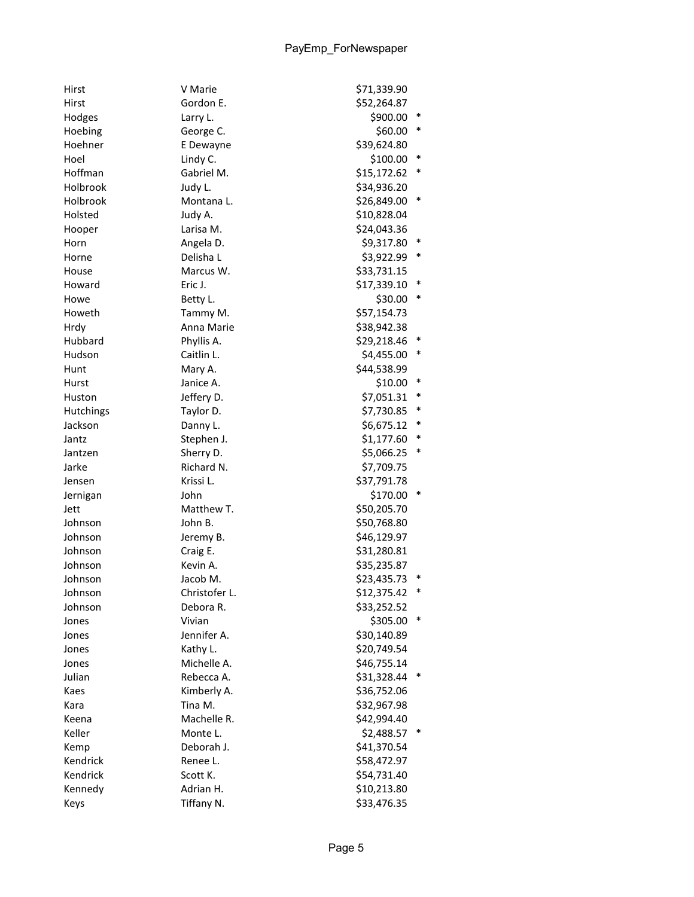| Hirst     | V Marie       | \$71,339.90 |        |
|-----------|---------------|-------------|--------|
| Hirst     | Gordon E.     | \$52,264.87 |        |
| Hodges    | Larry L.      | \$900.00    |        |
| Hoebing   | George C.     | \$60.00     | *      |
| Hoehner   | E Dewayne     | \$39,624.80 |        |
| Hoel      | Lindy C.      | \$100.00    | ∗      |
| Hoffman   | Gabriel M.    | \$15,172.62 | *      |
| Holbrook  | Judy L.       | \$34,936.20 |        |
| Holbrook  | Montana L.    | \$26,849.00 | $\ast$ |
| Holsted   | Judy A.       | \$10,828.04 |        |
| Hooper    | Larisa M.     | \$24,043.36 |        |
| Horn      | Angela D.     | \$9,317.80  | *      |
| Horne     | Delisha L     | \$3,922.99  | *      |
| House     | Marcus W.     | \$33,731.15 |        |
| Howard    | Eric J.       | \$17,339.10 | *      |
| Howe      | Betty L.      | \$30.00     | *      |
| Howeth    | Tammy M.      | \$57,154.73 |        |
| Hrdy      | Anna Marie    | \$38,942.38 |        |
| Hubbard   | Phyllis A.    | \$29,218.46 |        |
| Hudson    | Caitlin L.    | \$4,455.00  | *      |
| Hunt      | Mary A.       | \$44,538.99 |        |
| Hurst     | Janice A.     | \$10.00     | ∗      |
| Huston    | Jeffery D.    | \$7,051.31  | *      |
| Hutchings | Taylor D.     | \$7,730.85  | *      |
| Jackson   | Danny L.      | \$6,675.12  | *      |
| Jantz     | Stephen J.    | \$1,177.60  | *      |
| Jantzen   | Sherry D.     | \$5,066.25  | *      |
| Jarke     | Richard N.    | \$7,709.75  |        |
| Jensen    | Krissi L.     | \$37,791.78 |        |
| Jernigan  | John          | \$170.00    | *      |
| Jett      | Matthew T.    | \$50,205.70 |        |
| Johnson   | John B.       | \$50,768.80 |        |
| Johnson   | Jeremy B.     | \$46,129.97 |        |
| Johnson   | Craig E.      | \$31,280.81 |        |
| Johnson   | Kevin A.      | \$35,235.87 |        |
| Johnson   | Jacob M.      | \$23,435.73 | *      |
| Johnson   | Christofer L. | \$12,375.42 | *      |
| Johnson   | Debora R.     | \$33,252.52 |        |
| Jones     | Vivian        | \$305.00    |        |
| Jones     | Jennifer A.   | \$30,140.89 |        |
| Jones     | Kathy L.      | \$20,749.54 |        |
| Jones     | Michelle A.   | \$46,755.14 |        |
| Julian    | Rebecca A.    | \$31,328.44 | ∗      |
| Kaes      | Kimberly A.   | \$36,752.06 |        |
| Kara      | Tina M.       | \$32,967.98 |        |
| Keena     | Machelle R.   | \$42,994.40 |        |
| Keller    | Monte L.      | \$2,488.57  |        |
| Kemp      | Deborah J.    | \$41,370.54 |        |
| Kendrick  | Renee L.      | \$58,472.97 |        |
| Kendrick  | Scott K.      | \$54,731.40 |        |
| Kennedy   | Adrian H.     | \$10,213.80 |        |
| Keys      | Tiffany N.    | \$33,476.35 |        |
|           |               |             |        |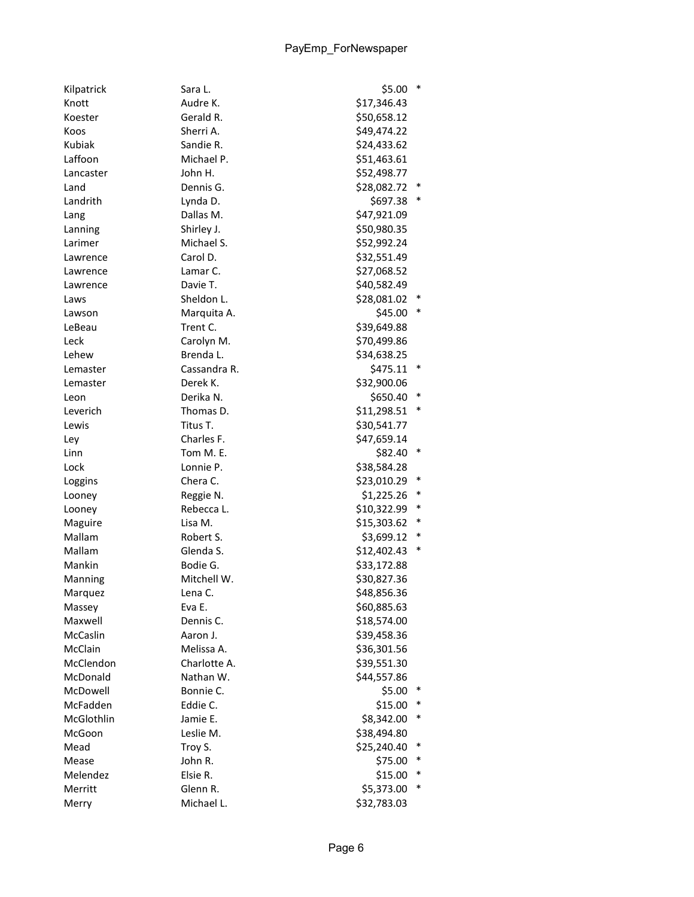| Kilpatrick | Sara L.      | \$5.00      | $\ast$ |
|------------|--------------|-------------|--------|
| Knott      | Audre K.     | \$17,346.43 |        |
| Koester    | Gerald R.    | \$50,658.12 |        |
| Koos       | Sherri A.    | \$49,474.22 |        |
| Kubiak     | Sandie R.    | \$24,433.62 |        |
| Laffoon    | Michael P.   | \$51,463.61 |        |
| Lancaster  | John H.      | \$52,498.77 |        |
| Land       | Dennis G.    | \$28,082.72 |        |
| Landrith   | Lynda D.     | \$697.38    | *      |
| Lang       | Dallas M.    | \$47,921.09 |        |
| Lanning    | Shirley J.   | \$50,980.35 |        |
| Larimer    | Michael S.   | \$52,992.24 |        |
| Lawrence   | Carol D.     | \$32,551.49 |        |
| Lawrence   | Lamar C.     | \$27,068.52 |        |
| Lawrence   | Davie T.     | \$40,582.49 |        |
| Laws       | Sheldon L.   | \$28,081.02 | *      |
| Lawson     | Marquita A.  | \$45.00     | ∗      |
| LeBeau     | Trent C.     | \$39,649.88 |        |
| Leck       | Carolyn M.   | \$70,499.86 |        |
| Lehew      | Brenda L.    | \$34,638.25 |        |
| Lemaster   | Cassandra R. | \$475.11    | *      |
| Lemaster   | Derek K.     | \$32,900.06 |        |
| Leon       | Derika N.    | \$650.40    | $\ast$ |
| Leverich   | Thomas D.    | \$11,298.51 | $\ast$ |
| Lewis      | Titus T.     | \$30,541.77 |        |
| Ley        | Charles F.   | \$47,659.14 |        |
| Linn       | Tom M. E.    | \$82.40     | *      |
| Lock       | Lonnie P.    | \$38,584.28 |        |
| Loggins    | Chera C.     | \$23,010.29 | *      |
| Looney     | Reggie N.    | \$1,225.26  | *      |
| Looney     | Rebecca L.   | \$10,322.99 | *      |
| Maguire    | Lisa M.      | \$15,303.62 | *      |
| Mallam     | Robert S.    | \$3,699.12  | $\ast$ |
| Mallam     | Glenda S.    | \$12,402.43 | *      |
| Mankin     | Bodie G.     | \$33,172.88 |        |
| Manning    | Mitchell W.  | \$30,827.36 |        |
| Marquez    | Lena C.      | \$48,856.36 |        |
| Massey     | Eva E.       | \$60,885.63 |        |
| Maxwell    | Dennis C.    | \$18,574.00 |        |
| McCaslin   | Aaron J.     | \$39,458.36 |        |
| McClain    | Melissa A.   | \$36,301.56 |        |
| McClendon  | Charlotte A. | \$39,551.30 |        |
| McDonald   | Nathan W.    | \$44,557.86 |        |
| McDowell   | Bonnie C.    | \$5.00      |        |
| McFadden   | Eddie C.     | \$15.00     | *      |
| McGlothlin | Jamie E.     | \$8,342.00  | *      |
| McGoon     | Leslie M.    | \$38,494.80 |        |
| Mead       | Troy S.      | \$25,240.40 | *      |
| Mease      | John R.      | \$75.00     | *      |
| Melendez   | Elsie R.     | \$15.00     | *      |
| Merritt    | Glenn R.     | \$5,373.00  | *      |
| Merry      | Michael L.   | \$32,783.03 |        |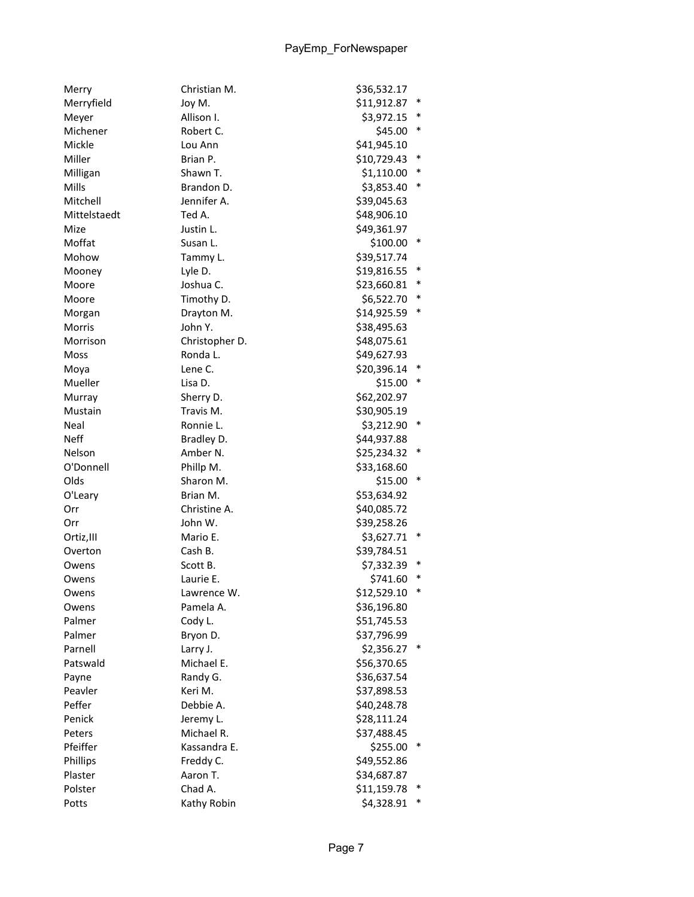| Merry        | Christian M.   | \$36,532.17           |
|--------------|----------------|-----------------------|
| Merryfield   | Joy M.         | $\ast$<br>\$11,912.87 |
| Meyer        | Allison I.     | $\ast$<br>\$3,972.15  |
| Michener     | Robert C.      | $\ast$<br>\$45.00     |
| Mickle       | Lou Ann        | \$41,945.10           |
| Miller       | Brian P.       | $\ast$<br>\$10,729.43 |
| Milligan     | Shawn T.       | $\ast$<br>\$1,110.00  |
| Mills        | Brandon D.     | $\ast$<br>\$3,853.40  |
| Mitchell     | Jennifer A.    | \$39,045.63           |
| Mittelstaedt | Ted A.         | \$48,906.10           |
| Mize         | Justin L.      | \$49,361.97           |
| Moffat       | Susan L.       | *<br>\$100.00         |
| Mohow        | Tammy L.       | \$39,517.74           |
| Mooney       | Lyle D.        | $\ast$<br>\$19,816.55 |
| Moore        | Joshua C.      | \$23,660.81           |
| Moore        | Timothy D.     | $\ast$<br>\$6,522.70  |
| Morgan       | Drayton M.     | $\ast$<br>\$14,925.59 |
| Morris       | John Y.        | \$38,495.63           |
| Morrison     | Christopher D. | \$48,075.61           |
| Moss         | Ronda L.       | \$49,627.93           |
| Moya         | Lene C.        | *<br>\$20,396.14      |
| Mueller      | Lisa D.        | $\ast$<br>\$15.00     |
| Murray       | Sherry D.      | \$62,202.97           |
| Mustain      | Travis M.      | \$30,905.19           |
| Neal         | Ronnie L.      | *<br>\$3,212.90       |
| Neff         | Bradley D.     | \$44,937.88           |
| Nelson       | Amber N.       | *<br>\$25,234.32      |
| O'Donnell    | Phillp M.      | \$33,168.60           |
| Olds         | Sharon M.      | $\ast$<br>\$15.00     |
| O'Leary      | Brian M.       | \$53,634.92           |
| Orr          | Christine A.   | \$40,085.72           |
| Orr          | John W.        | \$39,258.26           |
| Ortiz, III   | Mario E.       | $\ast$<br>\$3,627.71  |
| Overton      | Cash B.        | \$39,784.51           |
| Owens        | Scott B.       | $\ast$<br>\$7,332.39  |
| Owens        | Laurie E.      | $\ast$<br>\$741.60    |
| Owens        | Lawrence W.    | \$12,529.10           |
| Owens        | Pamela A.      | \$36,196.80           |
| Palmer       | Cody L.        | \$51,745.53           |
| Palmer       | Bryon D.       | \$37,796.99           |
| Parnell      | Larry J.       | \$2,356.27            |
| Patswald     | Michael E.     | \$56,370.65           |
| Payne        | Randy G.       | \$36,637.54           |
| Peavler      | Keri M.        | \$37,898.53           |
| Peffer       | Debbie A.      | \$40,248.78           |
| Penick       | Jeremy L.      | \$28,111.24           |
| Peters       | Michael R.     | \$37,488.45           |
| Pfeiffer     | Kassandra E.   | \$255.00<br>*         |
| Phillips     | Freddy C.      | \$49,552.86           |
| Plaster      | Aaron T.       | \$34,687.87           |
| Polster      | Chad A.        | $\ast$<br>\$11,159.78 |
| Potts        | Kathy Robin    | $\ast$<br>\$4,328.91  |
|              |                |                       |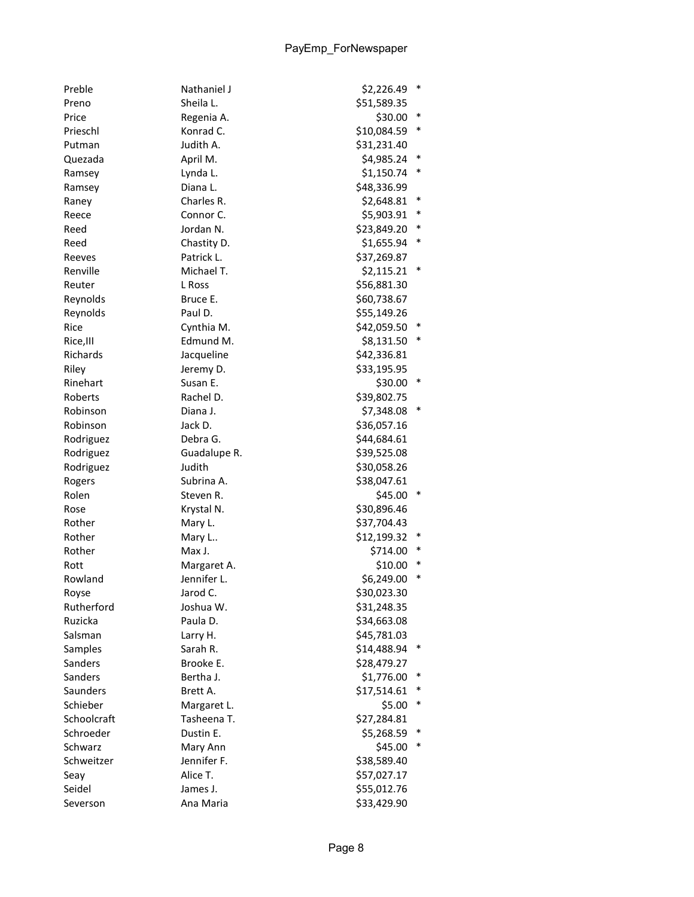| Preble          | Nathaniel J  | \$2,226.49<br>*       |
|-----------------|--------------|-----------------------|
| Preno           | Sheila L.    | \$51,589.35           |
| Price           | Regenia A.   | $\ast$<br>\$30.00     |
| Prieschl        | Konrad C.    | $\ast$<br>\$10,084.59 |
| Putman          | Judith A.    | \$31,231.40           |
| Quezada         | April M.     | $\ast$<br>\$4,985.24  |
| Ramsey          | Lynda L.     | $\ast$<br>\$1,150.74  |
| Ramsey          | Diana L.     | \$48,336.99           |
| Raney           | Charles R.   | *<br>\$2,648.81       |
| Reece           | Connor C.    | *<br>\$5,903.91       |
| Reed            | Jordan N.    | $\ast$<br>\$23,849.20 |
| Reed            | Chastity D.  | $\ast$<br>\$1,655.94  |
| Reeves          | Patrick L.   | \$37,269.87           |
| Renville        | Michael T.   | *<br>\$2,115.21       |
| Reuter          | L Ross       | \$56,881.30           |
| Reynolds        | Bruce E.     | \$60,738.67           |
| Reynolds        | Paul D.      | \$55,149.26           |
| Rice            | Cynthia M.   | \$42,059.50<br>∗      |
| Rice,III        | Edmund M.    | $\ast$<br>\$8,131.50  |
| Richards        | Jacqueline   | \$42,336.81           |
| Riley           | Jeremy D.    | \$33,195.95           |
| Rinehart        | Susan E.     | $\ast$<br>\$30.00     |
| Roberts         | Rachel D.    | \$39,802.75           |
| Robinson        | Diana J.     | $\ast$<br>\$7,348.08  |
| Robinson        | Jack D.      | \$36,057.16           |
| Rodriguez       | Debra G.     | \$44,684.61           |
| Rodriguez       | Guadalupe R. | \$39,525.08           |
| Rodriguez       | Judith       | \$30,058.26           |
| Rogers          | Subrina A.   | \$38,047.61           |
| Rolen           | Steven R.    | *<br>\$45.00          |
| Rose            | Krystal N.   | \$30,896.46           |
| Rother          | Mary L.      | \$37,704.43           |
| Rother          | Mary L       | ∗<br>\$12,199.32      |
| Rother          | Max J.       | ∗<br>\$714.00         |
| Rott            | Margaret A.  | ∗<br>\$10.00          |
| Rowland         | Jennifer L.  | $\ast$<br>\$6,249.00  |
| Royse           | Jarod C.     | \$30,023.30           |
| Rutherford      | Joshua W.    | \$31,248.35           |
| Ruzicka         | Paula D.     | \$34,663.08           |
| Salsman         | Larry H.     | \$45,781.03           |
| Samples         | Sarah R.     | \$14,488.94<br>*      |
| <b>Sanders</b>  | Brooke E.    | \$28,479.27           |
| Sanders         | Bertha J.    | \$1,776.00<br>$\ast$  |
| <b>Saunders</b> | Brett A.     | \$17,514.61<br>*      |
| Schieber        | Margaret L.  | ∗<br>\$5.00           |
| Schoolcraft     | Tasheena T.  | \$27,284.81           |
| Schroeder       | Dustin E.    | \$5,268.59            |
| Schwarz         | Mary Ann     | \$45.00<br>*          |
| Schweitzer      | Jennifer F.  | \$38,589.40           |
| Seay            | Alice T.     | \$57,027.17           |
| Seidel          | James J.     | \$55,012.76           |
| Severson        | Ana Maria    | \$33,429.90           |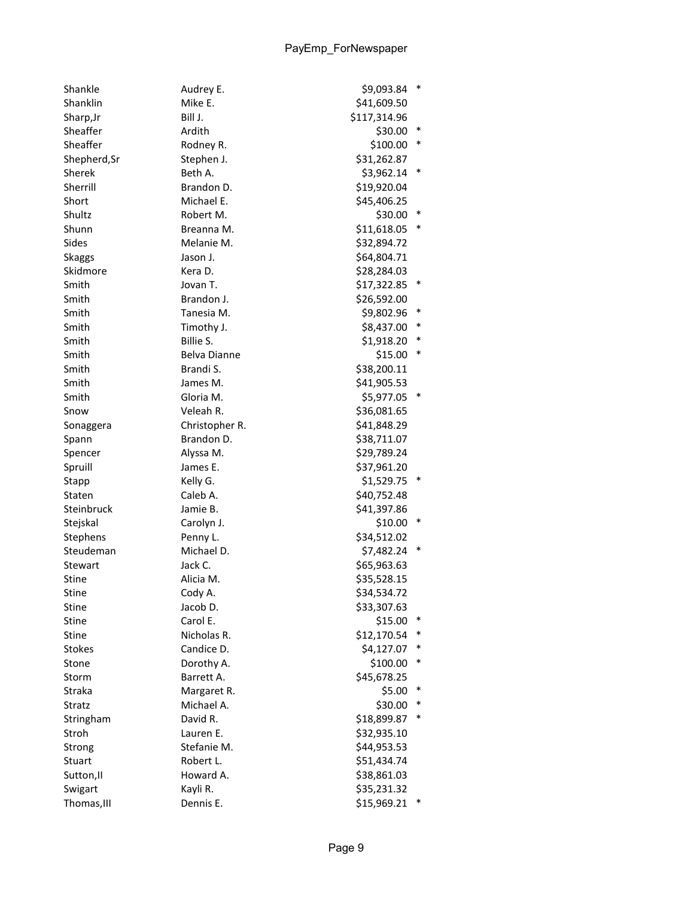| Shankle       | Audrey E.      | $\ast$<br>\$9,093.84  |
|---------------|----------------|-----------------------|
| Shanklin      | Mike E.        | \$41,609.50           |
| Sharp, Jr     | Bill J.        | \$117,314.96          |
| Sheaffer      | Ardith         | $\ast$<br>\$30.00     |
| Sheaffer      | Rodney R.      | $\ast$<br>\$100.00    |
| Shepherd, Sr  | Stephen J.     | \$31,262.87           |
| Sherek        | Beth A.        | *<br>\$3,962.14       |
| Sherrill      | Brandon D.     | \$19,920.04           |
| Short         | Michael E.     | \$45,406.25           |
| Shultz        | Robert M.      | *<br>\$30.00          |
| Shunn         | Breanna M.     | *<br>\$11,618.05      |
| Sides         | Melanie M.     | \$32,894.72           |
| <b>Skaggs</b> | Jason J.       | \$64,804.71           |
| Skidmore      | Kera D.        | \$28,284.03           |
| Smith         | Jovan T.       | \$17,322.85<br>*      |
| Smith         | Brandon J.     | \$26,592.00           |
| Smith         | Tanesia M.     | $\ast$<br>\$9,802.96  |
| Smith         | Timothy J.     | \$8,437.00<br>$\ast$  |
| Smith         | Billie S.      | $\ast$<br>\$1,918.20  |
| Smith         | Belva Dianne   | $\ast$<br>\$15.00     |
| Smith         | Brandi S.      | \$38,200.11           |
| Smith         | James M.       | \$41,905.53           |
| Smith         | Gloria M.      | \$5,977.05<br>∗       |
| Snow          | Veleah R.      | \$36,081.65           |
| Sonaggera     | Christopher R. | \$41,848.29           |
| Spann         | Brandon D.     | \$38,711.07           |
| Spencer       | Alyssa M.      | \$29,789.24           |
| Spruill       | James E.       | \$37,961.20           |
| Stapp         | Kelly G.       | \$1,529.75<br>$\ast$  |
| Staten        | Caleb A.       | \$40,752.48           |
| Steinbruck    | Jamie B.       | \$41,397.86           |
| Stejskal      | Carolyn J.     | *<br>\$10.00          |
| Stephens      | Penny L.       | \$34,512.02           |
| Steudeman     | Michael D.     | $\ast$<br>\$7,482.24  |
| Stewart       | Jack C.        | \$65,963.63           |
| Stine         | Alicia M.      | \$35,528.15           |
| Stine         | Cody A.        | \$34,534.72           |
| Stine         | Jacob D.       | \$33,307.63           |
| Stine         | Carol E.       | \$15.00<br>$\ast$     |
| Stine         | Nicholas R.    | *<br>\$12,170.54      |
| <b>Stokes</b> | Candice D.     | \$4,127.07            |
| Stone         | Dorothy A.     | \$100.00<br>*         |
| Storm         | Barrett A.     | \$45,678.25           |
| Straka        | Margaret R.    | \$5.00                |
| Stratz        | Michael A.     | \$30.00               |
| Stringham     | David R.       | \$18,899.87<br>*      |
| Stroh         | Lauren E.      | \$32,935.10           |
| Strong        | Stefanie M.    | \$44,953.53           |
| Stuart        | Robert L.      | \$51,434.74           |
| Sutton, II    | Howard A.      | \$38,861.03           |
| Swigart       | Kayli R.       | \$35,231.32           |
| Thomas, III   | Dennis E.      | \$15,969.21<br>$\ast$ |
|               |                |                       |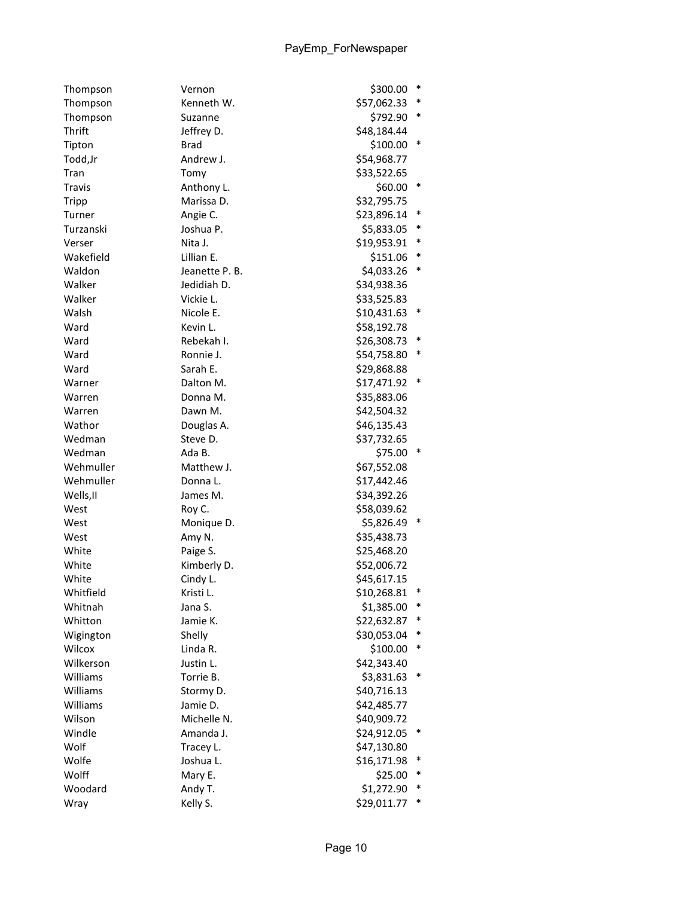| Thompson  | Vernon         | $\ast$<br>\$300.00    |
|-----------|----------------|-----------------------|
| Thompson  | Kenneth W.     | \$57,062.33           |
| Thompson  | Suzanne        | $\ast$<br>\$792.90    |
| Thrift    | Jeffrey D.     | \$48,184.44           |
| Tipton    | <b>Brad</b>    | $\ast$<br>\$100.00    |
| Todd,Jr   | Andrew J.      | \$54,968.77           |
| Tran      | Tomy           | \$33,522.65           |
| Travis    | Anthony L.     | $\ast$<br>\$60.00     |
| Tripp     | Marissa D.     | \$32,795.75           |
| Turner    | Angie C.       | $\ast$<br>\$23,896.14 |
| Turzanski | Joshua P.      | *<br>\$5,833.05       |
| Verser    | Nita J.        | $\ast$<br>\$19,953.91 |
| Wakefield | Lillian E.     | $\ast$<br>\$151.06    |
| Waldon    | Jeanette P. B. | *<br>\$4,033.26       |
| Walker    | Jedidiah D.    | \$34,938.36           |
| Walker    | Vickie L.      | \$33,525.83           |
| Walsh     | Nicole E.      | $\ast$<br>\$10,431.63 |
| Ward      | Kevin L.       | \$58,192.78           |
| Ward      | Rebekah I.     | $\ast$<br>\$26,308.73 |
| Ward      | Ronnie J.      | $\ast$<br>\$54,758.80 |
| Ward      | Sarah E.       | \$29,868.88           |
| Warner    | Dalton M.      | $\ast$<br>\$17,471.92 |
| Warren    | Donna M.       | \$35,883.06           |
| Warren    | Dawn M.        | \$42,504.32           |
| Wathor    | Douglas A.     | \$46,135.43           |
| Wedman    | Steve D.       | \$37,732.65           |
| Wedman    | Ada B.         | $\ast$<br>\$75.00     |
| Wehmuller | Matthew J.     | \$67,552.08           |
| Wehmuller | Donna L.       | \$17,442.46           |
| Wells, II | James M.       | \$34,392.26           |
| West      | Roy C.         | \$58,039.62           |
| West      | Monique D.     | $\ast$<br>\$5,826.49  |
| West      | Amy N.         | \$35,438.73           |
| White     | Paige S.       | \$25,468.20           |
| White     | Kimberly D.    | \$52,006.72           |
| White     | Cindy L.       | \$45,617.15           |
| Whitfield | Kristi L.      | \$10,268.81<br>∗      |
| Whitnah   | Jana S.        | \$1,385.00<br>∗       |
| Whitton   | Jamie K.       | *<br>\$22,632.87      |
| Wigington | Shelly         | *<br>\$30,053.04      |
| Wilcox    | Linda R.       | $\ast$<br>\$100.00    |
| Wilkerson | Justin L.      | \$42,343.40           |
| Williams  | Torrie B.      | *<br>\$3,831.63       |
| Williams  | Stormy D.      | \$40,716.13           |
| Williams  | Jamie D.       | \$42,485.77           |
| Wilson    | Michelle N.    | \$40,909.72           |
| Windle    | Amanda J.      | \$24,912.05<br>$\ast$ |
| Wolf      | Tracey L.      | \$47,130.80           |
| Wolfe     | Joshua L.      | \$16,171.98<br>$\ast$ |
| Wolff     | Mary E.        | *<br>\$25.00          |
| Woodard   | Andy T.        | *<br>\$1,272.90       |
| Wray      | Kelly S.       | \$29,011.77<br>*      |
|           |                |                       |